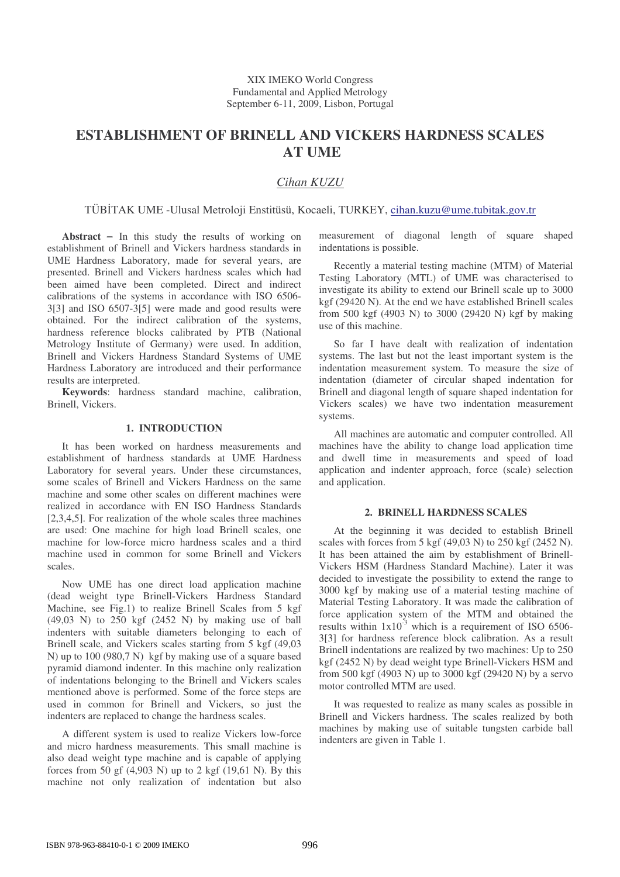# **ESTABLISHMENT OF BRINELL AND VICKERS HARDNESS SCALES AT UME**

## *Cihan KUZU*

TÜBTAK UME -Ulusal Metroloji Enstitüsü, Kocaeli, TURKEY, cihan.kuzu@ume.tubitak.gov.tr

**Abstract** − In this study the results of working on establishment of Brinell and Vickers hardness standards in UME Hardness Laboratory, made for several years, are presented. Brinell and Vickers hardness scales which had been aimed have been completed. Direct and indirect calibrations of the systems in accordance with ISO 6506- 3[3] and ISO 6507-3[5] were made and good results were obtained. For the indirect calibration of the systems, hardness reference blocks calibrated by PTB (National Metrology Institute of Germany) were used. In addition, Brinell and Vickers Hardness Standard Systems of UME Hardness Laboratory are introduced and their performance results are interpreted.

**Keywords**: hardness standard machine, calibration, Brinell, Vickers.

#### **1. INTRODUCTION**

It has been worked on hardness measurements and establishment of hardness standards at UME Hardness Laboratory for several years. Under these circumstances, some scales of Brinell and Vickers Hardness on the same machine and some other scales on different machines were realized in accordance with EN ISO Hardness Standards [2,3,4,5]. For realization of the whole scales three machines are used: One machine for high load Brinell scales, one machine for low-force micro hardness scales and a third machine used in common for some Brinell and Vickers scales.

Now UME has one direct load application machine (dead weight type Brinell-Vickers Hardness Standard Machine, see Fig.1) to realize Brinell Scales from 5 kgf (49,03 N) to 250 kgf (2452 N) by making use of ball indenters with suitable diameters belonging to each of Brinell scale, and Vickers scales starting from 5 kgf (49,03 N) up to 100 (980,7 N) kgf by making use of a square based pyramid diamond indenter. In this machine only realization of indentations belonging to the Brinell and Vickers scales mentioned above is performed. Some of the force steps are used in common for Brinell and Vickers, so just the indenters are replaced to change the hardness scales.

A different system is used to realize Vickers low-force and micro hardness measurements. This small machine is also dead weight type machine and is capable of applying forces from 50 gf  $(4,903 \text{ N})$  up to 2 kgf  $(19,61 \text{ N})$ . By this machine not only realization of indentation but also measurement of diagonal length of square shaped indentations is possible.

Recently a material testing machine (MTM) of Material Testing Laboratory (MTL) of UME was characterised to investigate its ability to extend our Brinell scale up to 3000 kgf (29420 N). At the end we have established Brinell scales from 500 kgf (4903 N) to 3000 (29420 N) kgf by making use of this machine.

So far I have dealt with realization of indentation systems. The last but not the least important system is the indentation measurement system. To measure the size of indentation (diameter of circular shaped indentation for Brinell and diagonal length of square shaped indentation for Vickers scales) we have two indentation measurement systems.

All machines are automatic and computer controlled. All machines have the ability to change load application time and dwell time in measurements and speed of load application and indenter approach, force (scale) selection and application.

## **2. BRINELL HARDNESS SCALES**

At the beginning it was decided to establish Brinell scales with forces from 5 kgf (49,03 N) to 250 kgf (2452 N). It has been attained the aim by establishment of Brinell-Vickers HSM (Hardness Standard Machine). Later it was decided to investigate the possibility to extend the range to 3000 kgf by making use of a material testing machine of Material Testing Laboratory. It was made the calibration of force application system of the MTM and obtained the results within  $1x10^{-3}$  which is a requirement of ISO 6506-3[3] for hardness reference block calibration. As a result Brinell indentations are realized by two machines: Up to 250 kgf (2452 N) by dead weight type Brinell-Vickers HSM and from 500 kgf (4903 N) up to 3000 kgf (29420 N) by a servo motor controlled MTM are used.

It was requested to realize as many scales as possible in Brinell and Vickers hardness. The scales realized by both machines by making use of suitable tungsten carbide ball indenters are given in Table 1.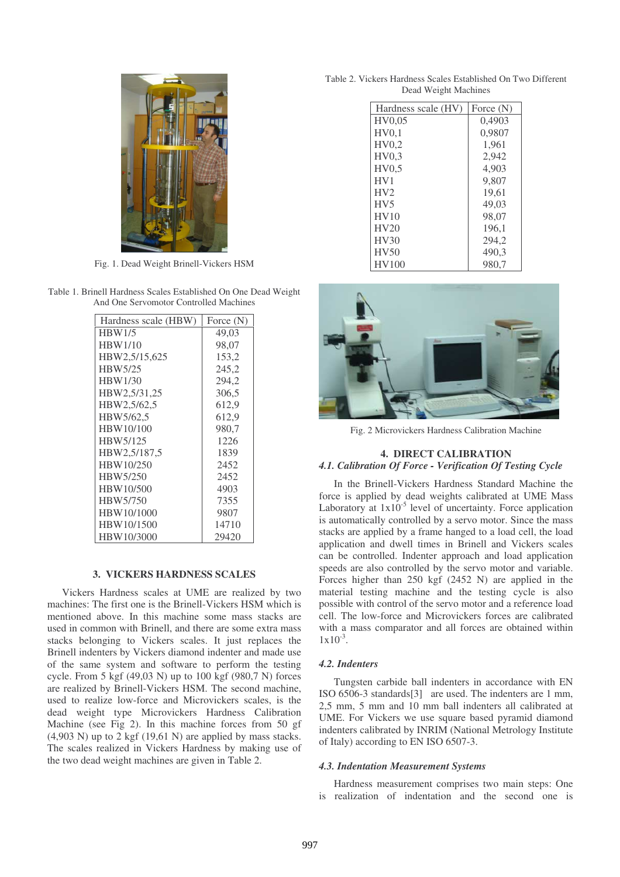

Fig. 1. Dead Weight Brinell-Vickers HSM

Table 1. Brinell Hardness Scales Established On One Dead Weight And One Servomotor Controlled Machines

| Hardness scale (HBW) | Force $(N)$ |  |  |
|----------------------|-------------|--|--|
| <b>HBW1/5</b>        | 49,03       |  |  |
| <b>HBW1/10</b>       | 98,07       |  |  |
| HBW2,5/15,625        | 153,2       |  |  |
| HBW5/25              | 245,2       |  |  |
| <b>HBW1/30</b>       | 294,2       |  |  |
| HBW2,5/31,25         | 306,5       |  |  |
| HBW2,5/62,5          | 612,9       |  |  |
| HBW5/62,5            | 612,9       |  |  |
| HBW10/100            | 980,7       |  |  |
| HBW5/125             | 1226        |  |  |
| HBW2,5/187,5         | 1839        |  |  |
| HBW10/250            | 2452        |  |  |
| HBW5/250             | 2452        |  |  |
| HBW10/500            | 4903        |  |  |
| HBW5/750             | 7355        |  |  |
| HBW10/1000           | 9807        |  |  |
| HBW10/1500           | 14710       |  |  |
| HBW10/3000           | 29420       |  |  |

## **3. VICKERS HARDNESS SCALES**

Vickers Hardness scales at UME are realized by two machines: The first one is the Brinell-Vickers HSM which is mentioned above. In this machine some mass stacks are used in common with Brinell, and there are some extra mass stacks belonging to Vickers scales. It just replaces the Brinell indenters by Vickers diamond indenter and made use of the same system and software to perform the testing cycle. From 5 kgf (49,03 N) up to 100 kgf (980,7 N) forces are realized by Brinell-Vickers HSM. The second machine, used to realize low-force and Microvickers scales, is the dead weight type Microvickers Hardness Calibration Machine (see Fig 2). In this machine forces from 50 gf  $(4.903 \text{ N})$  up to 2 kgf  $(19.61 \text{ N})$  are applied by mass stacks. The scales realized in Vickers Hardness by making use of the two dead weight machines are given in Table 2.

Table 2. Vickers Hardness Scales Established On Two Different Dead Weight Machines

| Hardness scale (HV) | Force $(N)$ |
|---------------------|-------------|
| HV0.05              | 0,4903      |
| HV0,1               | 0,9807      |
| HV0.2               | 1.961       |
| HV0.3               | 2,942       |
| HV0.5               | 4,903       |
| HV1                 | 9,807       |
| HV2                 | 19,61       |
| HV <sub>5</sub>     | 49,03       |
| HV10                | 98.07       |
| HV20                | 196.1       |
| HV30                | 294,2       |
| <b>HV50</b>         | 490,3       |
| HV100               | 980.7       |



Fig. 2 Microvickers Hardness Calibration Machine

## **4. DIRECT CALIBRATION** *4.1. Calibration Of Force - Verification Of Testing Cycle*

In the Brinell-Vickers Hardness Standard Machine the force is applied by dead weights calibrated at UME Mass Laboratory at  $1x10^{-5}$  level of uncertainty. Force application is automatically controlled by a servo motor. Since the mass stacks are applied by a frame hanged to a load cell, the load application and dwell times in Brinell and Vickers scales can be controlled. Indenter approach and load application speeds are also controlled by the servo motor and variable. Forces higher than 250 kgf (2452 N) are applied in the material testing machine and the testing cycle is also possible with control of the servo motor and a reference load cell. The low-force and Microvickers forces are calibrated with a mass comparator and all forces are obtained within  $1x10^{-3}$ .

#### *4.2. Indenters*

Tungsten carbide ball indenters in accordance with EN ISO 6506-3 standards[3] are used. The indenters are 1 mm, 2,5 mm, 5 mm and 10 mm ball indenters all calibrated at UME. For Vickers we use square based pyramid diamond indenters calibrated by INRIM (National Metrology Institute of Italy) according to EN ISO 6507-3.

#### *4.3. Indentation Measurement Systems*

Hardness measurement comprises two main steps: One is realization of indentation and the second one is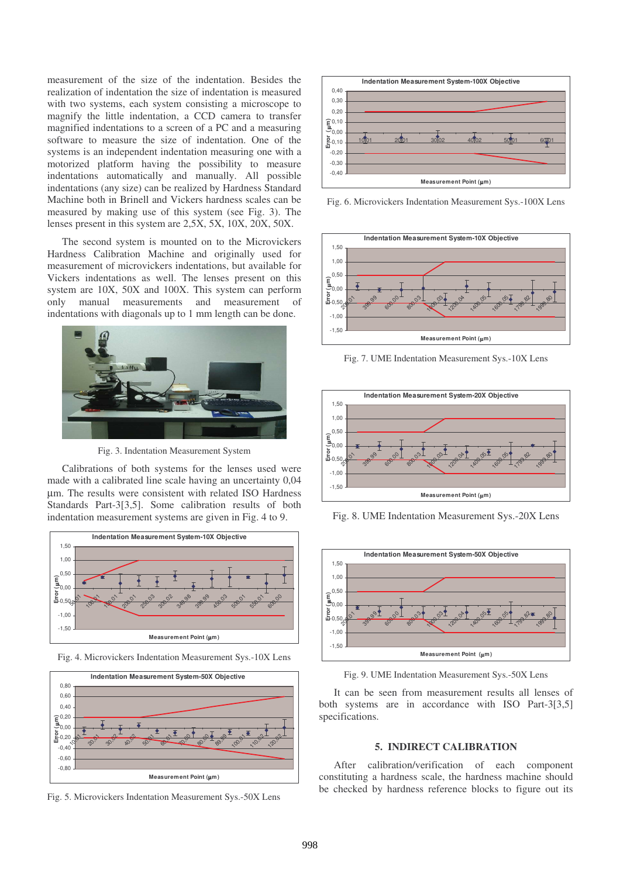measurement of the size of the indentation. Besides the realization of indentation the size of indentation is measured with two systems, each system consisting a microscope to magnify the little indentation, a CCD camera to transfer magnified indentations to a screen of a PC and a measuring software to measure the size of indentation. One of the systems is an independent indentation measuring one with a motorized platform having the possibility to measure indentations automatically and manually. All possible indentations (any size) can be realized by Hardness Standard Machine both in Brinell and Vickers hardness scales can be measured by making use of this system (see Fig. 3). The lenses present in this system are 2,5X, 5X, 10X, 20X, 50X.

The second system is mounted on to the Microvickers Hardness Calibration Machine and originally used for measurement of microvickers indentations, but available for Vickers indentations as well. The lenses present on this system are 10X, 50X and 100X. This system can perform only manual measurements and measurement of indentations with diagonals up to 1 mm length can be done.



Fig. 3. Indentation Measurement System

Calibrations of both systems for the lenses used were made with a calibrated line scale having an uncertainty 0,04 µm. The results were consistent with related ISO Hardness Standards Part-3[3,5]. Some calibration results of both indentation measurement systems are given in Fig. 4 to 9.



Fig. 4. Microvickers Indentation Measurement Sys.-10X Lens



Fig. 5. Microvickers Indentation Measurement Sys.-50X Lens



Fig. 6. Microvickers Indentation Measurement Sys.-100X Lens



Fig. 7. UME Indentation Measurement Sys.-10X Lens



Fig. 8. UME Indentation Measurement Sys.-20X Lens



Fig. 9. UME Indentation Measurement Sys.-50X Lens

It can be seen from measurement results all lenses of both systems are in accordance with ISO Part-3[3,5] specifications.

## **5. INDIRECT CALIBRATION**

After calibration/verification of each component constituting a hardness scale, the hardness machine should be checked by hardness reference blocks to figure out its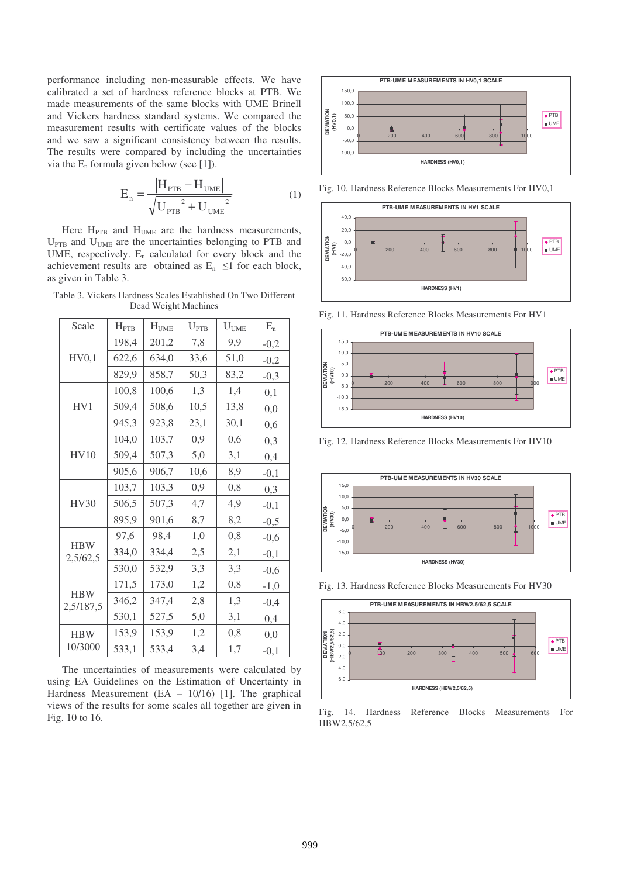performance including non-measurable effects. We have calibrated a set of hardness reference blocks at PTB. We made measurements of the same blocks with UME Brinell and Vickers hardness standard systems. We compared the measurement results with certificate values of the blocks and we saw a significant consistency between the results. The results were compared by including the uncertainties via the  $E_n$  formula given below (see [1]).

$$
E_n = \frac{|H_{\text{PTB}} - H_{\text{UME}}|}{\sqrt{{U_{\text{PTB}}}^2 + {U_{\text{UME}}}^2}}
$$
(1)

Here  $H_{\text{PTB}}$  and  $H_{\text{UME}}$  are the hardness measurements,  $U_{\text{PTB}}$  and  $U_{\text{UME}}$  are the uncertainties belonging to PTB and UME, respectively. E<sup>n</sup> calculated for every block and the achievement results are obtained as  $E_n \leq 1$  for each block, as given in Table 3.

Table 3. Vickers Hardness Scales Established On Two Different Dead Weight Machines

| Scale                   | $H_{PTB}$ | $H_{UME}$ | $U_{\text{PTB}}$ | $U_{UME}$ | $\mathbf{E}_\mathrm{n}$ |
|-------------------------|-----------|-----------|------------------|-----------|-------------------------|
| HV0,1                   | 198,4     | 201,2     | 7,8              | 9,9       | $-0,2$                  |
|                         | 622,6     | 634,0     | 33,6             | 51,0      | $-0,2$                  |
|                         | 829,9     | 858.7     | 50,3             | 83,2      | $-0,3$                  |
| HV1                     | 100,8     | 100,6     | 1,3              | 1,4       | 0,1                     |
|                         | 509,4     | 508,6     | 10,5             | 13,8      | 0,0                     |
|                         | 945,3     | 923,8     | 23,1             | 30,1      | 0,6                     |
|                         | 104,0     | 103,7     | 0,9              | 0,6       | 0,3                     |
| HV10                    | 509,4     | 507,3     | 5,0              | 3,1       | 0,4                     |
|                         | 905,6     | 906,7     | 10,6             | 8,9       | $-0,1$                  |
| <b>HV30</b>             | 103,7     | 103,3     | 0,9              | 0,8       | 0,3                     |
|                         | 506,5     | 507,3     | 4,7              | 4,9       | $-0,1$                  |
|                         | 895,9     | 901,6     | 8,7              | 8,2       | $-0,5$                  |
|                         | 97,6      | 98,4      | 1,0              | 0,8       | $-0,6$                  |
| <b>HBW</b><br>2,5/62,5  | 334,0     | 334,4     | 2,5              | 2,1       | $-0,1$                  |
|                         | 530,0     | 532,9     | 3,3              | 3,3       | $-0,6$                  |
|                         | 171,5     | 173,0     | 1,2              | 0,8       | $-1,0$                  |
| <b>HBW</b><br>2,5/187,5 | 346,2     | 347,4     | 2,8              | 1,3       | $-0,4$                  |
|                         | 530,1     | 527,5     | 5,0              | 3,1       | 0,4                     |
| <b>HBW</b><br>10/3000   | 153,9     | 153,9     | 1,2              | 0,8       | 0,0                     |
|                         | 533,1     | 533,4     | 3,4              | 1,7       | $-0,1$                  |

The uncertainties of measurements were calculated by using EA Guidelines on the Estimation of Uncertainty in Hardness Measurement (EA – 10/16) [1]. The graphical views of the results for some scales all together are given in Fig. 10 to 16.



Fig. 10. Hardness Reference Blocks Measurements For HV0,1



Fig. 11. Hardness Reference Blocks Measurements For HV1



Fig. 12. Hardness Reference Blocks Measurements For HV10



Fig. 13. Hardness Reference Blocks Measurements For HV30



Fig. 14. Hardness Reference Blocks Measurements For HBW2,5/62,5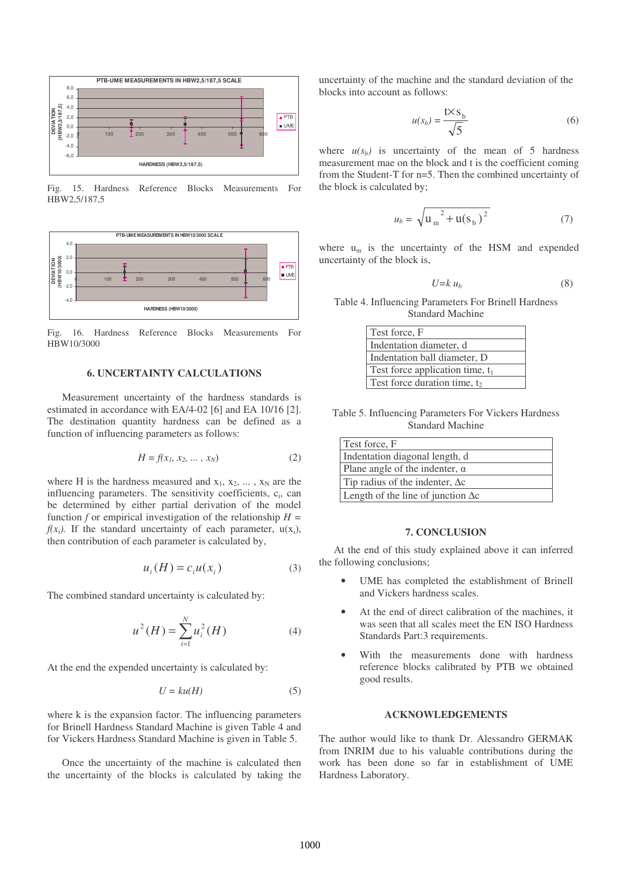

Fig. 15. Hardness Reference Blocks Measurements For HBW2,5/187,5



Fig. 16. Hardness Reference Blocks Measurements For HBW10/3000

#### **6. UNCERTAINTY CALCULATIONS**

Measurement uncertainty of the hardness standards is estimated in accordance with EA/4-02 [6] and EA 10/16 [2]. The destination quantity hardness can be defined as a function of influencing parameters as follows:

$$
H = f(x_1, x_2, \dots, x_N)
$$
 (2)

where H is the hardness measured and  $x_1, x_2, \ldots, x_N$  are the influencing parameters. The sensitivity coefficients, c<sub>i</sub>, can be determined by either partial derivation of the model function *f* or empirical investigation of the relationship  $H =$  $f(x_i)$ . If the standard uncertainty of each parameter,  $u(x_i)$ , then contribution of each parameter is calculated by,

$$
u_i(H) = c_i u(x_i)
$$
 (3)

The combined standard uncertainty is calculated by:

$$
u^{2}(H) = \sum_{i=1}^{N} u_{i}^{2}(H)
$$
 (4)

At the end the expended uncertainty is calculated by:

$$
U = ku(H) \tag{5}
$$

where k is the expansion factor. The influencing parameters for Brinell Hardness Standard Machine is given Table 4 and for Vickers Hardness Standard Machine is given in Table 5.

Once the uncertainty of the machine is calculated then the uncertainty of the blocks is calculated by taking the uncertainty of the machine and the standard deviation of the blocks into account as follows:

$$
u(s_b) = \frac{t \times s_b}{\sqrt{5}}\tag{6}
$$

where  $u(s_b)$  is uncertainty of the mean of 5 hardness measurement mae on the block and t is the coefficient coming from the Student-T for n=5. Then the combined uncertainty of the block is calculated by;

$$
u_b = \sqrt{u_m^2 + u(s_b)^2}
$$
 (7)

where  $u_m$  is the uncertainty of the HSM and expended uncertainty of the block is,

$$
U = k u_b \tag{8}
$$

Table 4. Influencing Parameters For Brinell Hardness Standard Machine

| Test force, F                            |
|------------------------------------------|
| Indentation diameter, d                  |
| Indentation ball diameter, D             |
| Test force application time, $t_1$       |
| Test force duration time, t <sub>2</sub> |

Table 5. Influencing Parameters For Vickers Hardness Standard Machine

| Test force, F                             |
|-------------------------------------------|
| Indentation diagonal length, d            |
| Plane angle of the indenter, $\alpha$     |
| Tip radius of the indenter, $\Delta c$    |
| Length of the line of junction $\Delta c$ |

#### **7. CONCLUSION**

At the end of this study explained above it can inferred the following conclusions;

- UME has completed the establishment of Brinell and Vickers hardness scales.
- At the end of direct calibration of the machines, it was seen that all scales meet the EN ISO Hardness Standards Part:3 requirements.
- With the measurements done with hardness reference blocks calibrated by PTB we obtained good results.

#### **ACKNOWLEDGEMENTS**

The author would like to thank Dr. Alessandro GERMAK from INRIM due to his valuable contributions during the work has been done so far in establishment of UME Hardness Laboratory.